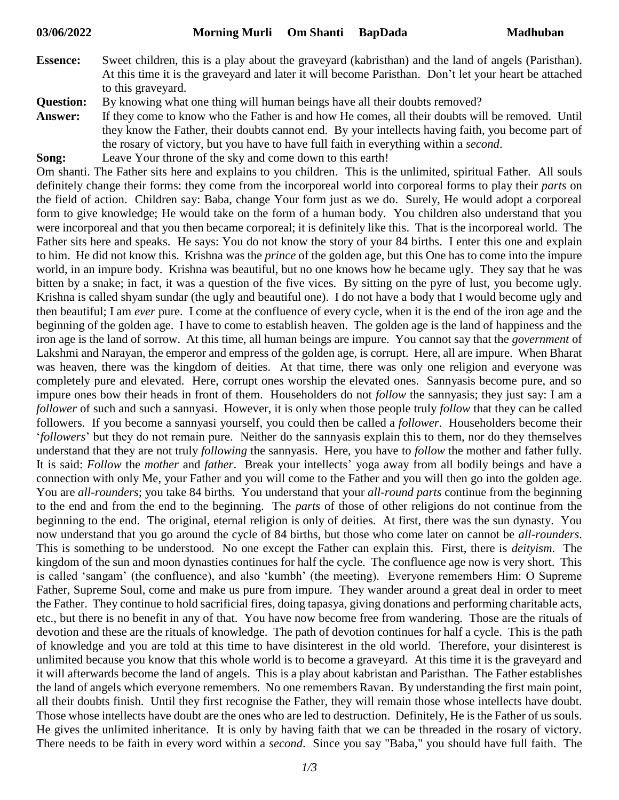- **Essence:** Sweet children, this is a play about the graveyard (kabristhan) and the land of angels (Paristhan). At this time it is the graveyard and later it will become Paristhan. Don't let your heart be attached to this graveyard.
- **Question:** By knowing what one thing will human beings have all their doubts removed?
- **Answer:** If they come to know who the Father is and how He comes, all their doubts will be removed. Until they know the Father, their doubts cannot end. By your intellects having faith, you become part of the rosary of victory, but you have to have full faith in everything within a *second*.
- **Song:** Leave Your throne of the sky and come down to this earth!

Om shanti. The Father sits here and explains to you children. This is the unlimited, spiritual Father. All souls definitely change their forms: they come from the incorporeal world into corporeal forms to play their *parts* on the field of action. Children say: Baba, change Your form just as we do. Surely, He would adopt a corporeal form to give knowledge; He would take on the form of a human body. You children also understand that you were incorporeal and that you then became corporeal; it is definitely like this. That is the incorporeal world. The Father sits here and speaks. He says: You do not know the story of your 84 births. I enter this one and explain to him. He did not know this. Krishna was the *prince* of the golden age, but this One has to come into the impure world, in an impure body. Krishna was beautiful, but no one knows how he became ugly. They say that he was bitten by a snake; in fact, it was a question of the five vices. By sitting on the pyre of lust, you become ugly. Krishna is called shyam sundar (the ugly and beautiful one). I do not have a body that I would become ugly and then beautiful; I am *ever* pure. I come at the confluence of every cycle, when it is the end of the iron age and the beginning of the golden age. I have to come to establish heaven. The golden age is the land of happiness and the iron age is the land of sorrow. At this time, all human beings are impure. You cannot say that the *government* of Lakshmi and Narayan, the emperor and empress of the golden age, is corrupt. Here, all are impure. When Bharat was heaven, there was the kingdom of deities. At that time, there was only one religion and everyone was completely pure and elevated. Here, corrupt ones worship the elevated ones. Sannyasis become pure, and so impure ones bow their heads in front of them. Householders do not *follow* the sannyasis; they just say: I am a *follower* of such and such a sannyasi. However, it is only when those people truly *follow* that they can be called followers. If you become a sannyasi yourself, you could then be called a *follower*. Householders become their '*followers*' but they do not remain pure. Neither do the sannyasis explain this to them, nor do they themselves understand that they are not truly *following* the sannyasis. Here, you have to *follow* the mother and father fully. It is said: *Follow* the *mother* and *father*. Break your intellects' yoga away from all bodily beings and have a connection with only Me, your Father and you will come to the Father and you will then go into the golden age. You are *all-rounders*; you take 84 births. You understand that your *all-round parts* continue from the beginning to the end and from the end to the beginning. The *parts* of those of other religions do not continue from the beginning to the end. The original, eternal religion is only of deities. At first, there was the sun dynasty. You now understand that you go around the cycle of 84 births, but those who come later on cannot be *all*-*rounders*. This is something to be understood. No one except the Father can explain this. First, there is *deityism*. The kingdom of the sun and moon dynasties continues for half the cycle. The confluence age now is very short. This is called 'sangam' (the confluence), and also 'kumbh' (the meeting). Everyone remembers Him: O Supreme Father, Supreme Soul, come and make us pure from impure. They wander around a great deal in order to meet the Father. They continue to hold sacrificial fires, doing tapasya, giving donations and performing charitable acts, etc., but there is no benefit in any of that. You have now become free from wandering. Those are the rituals of devotion and these are the rituals of knowledge. The path of devotion continues for half a cycle. This is the path of knowledge and you are told at this time to have disinterest in the old world. Therefore, your disinterest is unlimited because you know that this whole world is to become a graveyard. At this time it is the graveyard and it will afterwards become the land of angels. This is a play about kabristan and Paristhan. The Father establishes the land of angels which everyone remembers. No one remembers Ravan. By understanding the first main point, all their doubts finish. Until they first recognise the Father, they will remain those whose intellects have doubt. Those whose intellects have doubt are the ones who are led to destruction. Definitely, He is the Father of us souls. He gives the unlimited inheritance. It is only by having faith that we can be threaded in the rosary of victory. There needs to be faith in every word within a *second*. Since you say "Baba," you should have full faith. The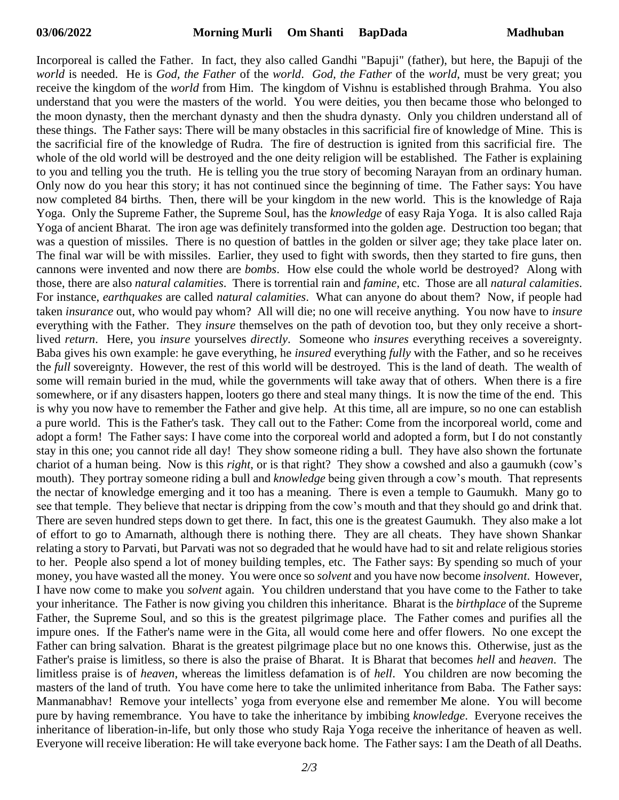Incorporeal is called the Father. In fact, they also called Gandhi "Bapuji" (father), but here, the Bapuji of the *world* is needed. He is *God, the Father* of the *world*. *God, the Father* of the *world*, must be very great; you receive the kingdom of the *world* from Him. The kingdom of Vishnu is established through Brahma. You also understand that you were the masters of the world. You were deities, you then became those who belonged to the moon dynasty, then the merchant dynasty and then the shudra dynasty. Only you children understand all of these things. The Father says: There will be many obstacles in this sacrificial fire of knowledge of Mine. This is the sacrificial fire of the knowledge of Rudra. The fire of destruction is ignited from this sacrificial fire. The whole of the old world will be destroyed and the one deity religion will be established. The Father is explaining to you and telling you the truth. He is telling you the true story of becoming Narayan from an ordinary human. Only now do you hear this story; it has not continued since the beginning of time. The Father says: You have now completed 84 births. Then, there will be your kingdom in the new world. This is the knowledge of Raja Yoga. Only the Supreme Father, the Supreme Soul, has the *knowledge* of easy Raja Yoga. It is also called Raja Yoga of ancient Bharat. The iron age was definitely transformed into the golden age. Destruction too began; that was a question of missiles. There is no question of battles in the golden or silver age; they take place later on. The final war will be with missiles. Earlier, they used to fight with swords, then they started to fire guns, then cannons were invented and now there are *bombs*. How else could the whole world be destroyed? Along with those, there are also *natural calamities*. There is torrential rain and *famine,* etc. Those are all *natural calamities*. For instance, *earthquakes* are called *natural calamities*. What can anyone do about them? Now, if people had taken *insurance* out, who would pay whom? All will die; no one will receive anything. You now have to *insure* everything with the Father. They *insure* themselves on the path of devotion too, but they only receive a shortlived *return*. Here, you *insure* yourselves *directly*. Someone who *insures* everything receives a sovereignty. Baba gives his own example: he gave everything, he *insured* everything *fully* with the Father, and so he receives the *full* sovereignty. However, the rest of this world will be destroyed. This is the land of death. The wealth of some will remain buried in the mud, while the governments will take away that of others. When there is a fire somewhere, or if any disasters happen, looters go there and steal many things. It is now the time of the end. This is why you now have to remember the Father and give help. At this time, all are impure, so no one can establish a pure world. This is the Father's task. They call out to the Father: Come from the incorporeal world, come and adopt a form! The Father says: I have come into the corporeal world and adopted a form, but I do not constantly stay in this one; you cannot ride all day! They show someone riding a bull. They have also shown the fortunate chariot of a human being. Now is this *right*, or is that right? They show a cowshed and also a gaumukh (cow's mouth). They portray someone riding a bull and *knowledge* being given through a cow's mouth. That represents the nectar of knowledge emerging and it too has a meaning. There is even a temple to Gaumukh. Many go to see that temple. They believe that nectar is dripping from the cow's mouth and that they should go and drink that. There are seven hundred steps down to get there. In fact, this one is the greatest Gaumukh. They also make a lot of effort to go to Amarnath, although there is nothing there. They are all cheats. They have shown Shankar relating a story to Parvati, but Parvati was not so degraded that he would have had to sit and relate religious stories to her. People also spend a lot of money building temples, etc. The Father says: By spending so much of your money, you have wasted all the money. You were once so *solvent* and you have now become *insolvent*. However, I have now come to make you *solvent* again. You children understand that you have come to the Father to take your inheritance. The Father is now giving you children this inheritance. Bharat is the *birthplace* of the Supreme Father, the Supreme Soul, and so this is the greatest pilgrimage place. The Father comes and purifies all the impure ones. If the Father's name were in the Gita, all would come here and offer flowers. No one except the Father can bring salvation. Bharat is the greatest pilgrimage place but no one knows this. Otherwise, just as the Father's praise is limitless, so there is also the praise of Bharat. It is Bharat that becomes *hell* and *heaven*. The limitless praise is of *heaven*, whereas the limitless defamation is of *hell*. You children are now becoming the masters of the land of truth. You have come here to take the unlimited inheritance from Baba. The Father says: Manmanabhav! Remove your intellects' yoga from everyone else and remember Me alone. You will become pure by having remembrance. You have to take the inheritance by imbibing *knowledge*. Everyone receives the inheritance of liberation-in-life, but only those who study Raja Yoga receive the inheritance of heaven as well. Everyone will receive liberation: He will take everyone back home. The Father says: I am the Death of all Deaths.